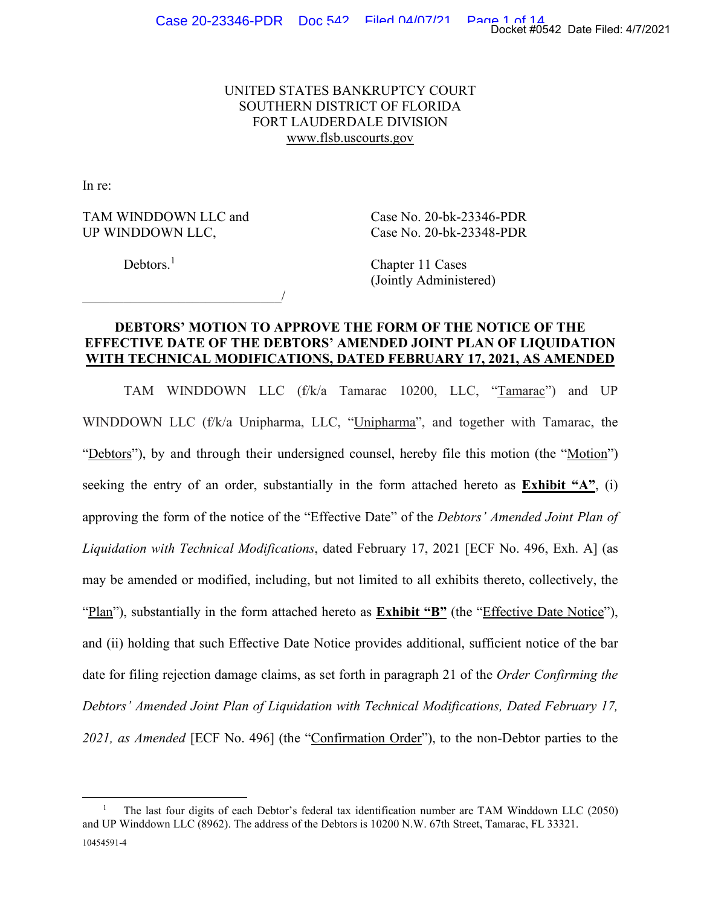# UNITED STATES BANKRUPTCY COURT SOUTHERN DISTRICT OF FLORIDA FORT LAUDERDALE DIVISION www.flsb.uscourts.gov

In re:

TAM WINDDOWN LLC and Case No. 20-bk-23346-PDR UP WINDDOWN LLC, Case No. 20-bk-23348-PDR

 $\overline{\phantom{a}}$ 

Debtors.<sup>1</sup>

 Chapter 11 Cases (Jointly Administered)

# **DEBTORS' MOTION TO APPROVE THE FORM OF THE NOTICE OF THE EFFECTIVE DATE OF THE DEBTORS' AMENDED JOINT PLAN OF LIQUIDATION WITH TECHNICAL MODIFICATIONS, DATED FEBRUARY 17, 2021, AS AMENDED**

TAM WINDDOWN LLC (f/k/a Tamarac 10200, LLC, "Tamarac") and UP WINDDOWN LLC (f/k/a Unipharma, LLC, "Unipharma", and together with Tamarac, the "Debtors"), by and through their undersigned counsel, hereby file this motion (the "Motion") seeking the entry of an order, substantially in the form attached hereto as **Exhibit "A"**, (i) approving the form of the notice of the "Effective Date" of the *Debtors' Amended Joint Plan of Liquidation with Technical Modifications*, dated February 17, 2021 [ECF No. 496, Exh. A] (as may be amended or modified, including, but not limited to all exhibits thereto, collectively, the "Plan"), substantially in the form attached hereto as **Exhibit "B"** (the "Effective Date Notice"), and (ii) holding that such Effective Date Notice provides additional, sufficient notice of the bar date for filing rejection damage claims, as set forth in paragraph 21 of the *Order Confirming the Debtors' Amended Joint Plan of Liquidation with Technical Modifications, Dated February 17, 2021, as Amended* [ECF No. 496] (the "Confirmation Order"), to the non-Debtor parties to the

<sup>10454591-4</sup>  1 The last four digits of each Debtor's federal tax identification number are TAM Winddown LLC (2050) and UP Winddown LLC (8962). The address of the Debtors is 10200 N.W. 67th Street, Tamarac, FL 33321.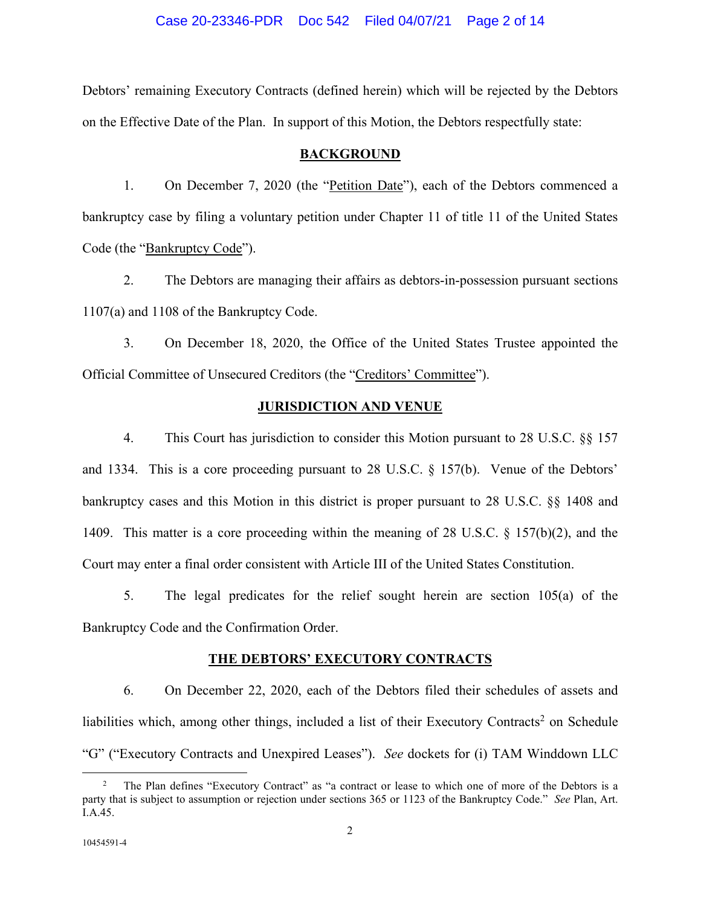### Case 20-23346-PDR Doc 542 Filed 04/07/21 Page 2 of 14

Debtors' remaining Executory Contracts (defined herein) which will be rejected by the Debtors on the Effective Date of the Plan. In support of this Motion, the Debtors respectfully state:

#### **BACKGROUND**

1. On December 7, 2020 (the "Petition Date"), each of the Debtors commenced a bankruptcy case by filing a voluntary petition under Chapter 11 of title 11 of the United States Code (the "Bankruptcy Code").

2. The Debtors are managing their affairs as debtors-in-possession pursuant sections 1107(a) and 1108 of the Bankruptcy Code.

3. On December 18, 2020, the Office of the United States Trustee appointed the Official Committee of Unsecured Creditors (the "Creditors' Committee").

### **JURISDICTION AND VENUE**

4. This Court has jurisdiction to consider this Motion pursuant to 28 U.S.C. §§ 157 and 1334. This is a core proceeding pursuant to 28 U.S.C. § 157(b). Venue of the Debtors' bankruptcy cases and this Motion in this district is proper pursuant to 28 U.S.C. §§ 1408 and 1409. This matter is a core proceeding within the meaning of 28 U.S.C. § 157(b)(2), and the Court may enter a final order consistent with Article III of the United States Constitution.

5. The legal predicates for the relief sought herein are section 105(a) of the Bankruptcy Code and the Confirmation Order.

#### **THE DEBTORS' EXECUTORY CONTRACTS**

6. On December 22, 2020, each of the Debtors filed their schedules of assets and liabilities which, among other things, included a list of their Executory Contracts<sup>2</sup> on Schedule "G" ("Executory Contracts and Unexpired Leases"). *See* dockets for (i) TAM Winddown LLC

<sup>2</sup> The Plan defines "Executory Contract" as "a contract or lease to which one of more of the Debtors is a party that is subject to assumption or rejection under sections 365 or 1123 of the Bankruptcy Code." *See* Plan, Art. I.A.45.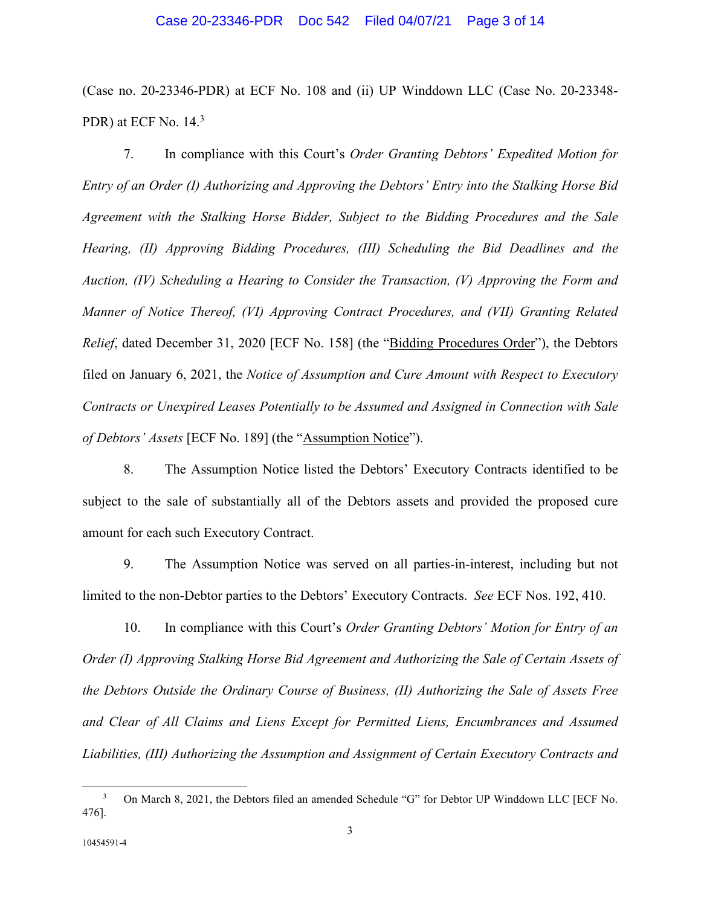### Case 20-23346-PDR Doc 542 Filed 04/07/21 Page 3 of 14

(Case no. 20-23346-PDR) at ECF No. 108 and (ii) UP Winddown LLC (Case No. 20-23348- PDR) at ECF No. 14.<sup>3</sup>

7. In compliance with this Court's *Order Granting Debtors' Expedited Motion for Entry of an Order (I) Authorizing and Approving the Debtors' Entry into the Stalking Horse Bid Agreement with the Stalking Horse Bidder, Subject to the Bidding Procedures and the Sale Hearing, (II) Approving Bidding Procedures, (III) Scheduling the Bid Deadlines and the Auction, (IV) Scheduling a Hearing to Consider the Transaction, (V) Approving the Form and Manner of Notice Thereof, (VI) Approving Contract Procedures, and (VII) Granting Related Relief*, dated December 31, 2020 [ECF No. 158] (the "Bidding Procedures Order"), the Debtors filed on January 6, 2021, the *Notice of Assumption and Cure Amount with Respect to Executory Contracts or Unexpired Leases Potentially to be Assumed and Assigned in Connection with Sale of Debtors' Assets* [ECF No. 189] (the "Assumption Notice").

8. The Assumption Notice listed the Debtors' Executory Contracts identified to be subject to the sale of substantially all of the Debtors assets and provided the proposed cure amount for each such Executory Contract.

9. The Assumption Notice was served on all parties-in-interest, including but not limited to the non-Debtor parties to the Debtors' Executory Contracts. *See* ECF Nos. 192, 410.

10. In compliance with this Court's *Order Granting Debtors' Motion for Entry of an Order (I) Approving Stalking Horse Bid Agreement and Authorizing the Sale of Certain Assets of the Debtors Outside the Ordinary Course of Business, (II) Authorizing the Sale of Assets Free and Clear of All Claims and Liens Except for Permitted Liens, Encumbrances and Assumed Liabilities, (III) Authorizing the Assumption and Assignment of Certain Executory Contracts and* 

<sup>3</sup> On March 8, 2021, the Debtors filed an amended Schedule "G" for Debtor UP Winddown LLC [ECF No. 476].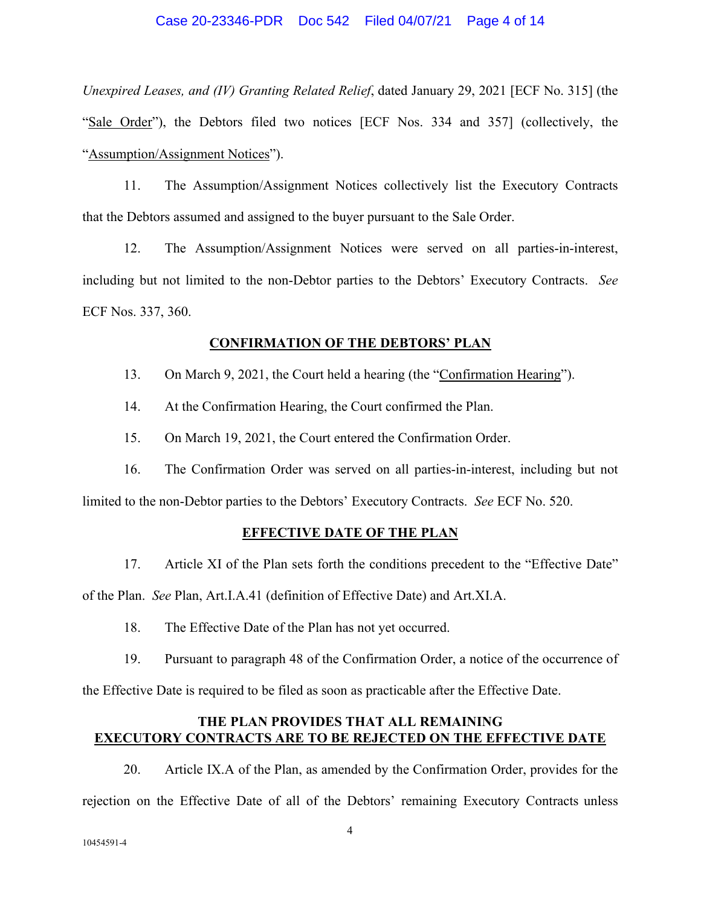### Case 20-23346-PDR Doc 542 Filed 04/07/21 Page 4 of 14

*Unexpired Leases, and (IV) Granting Related Relief*, dated January 29, 2021 [ECF No. 315] (the "Sale Order"), the Debtors filed two notices [ECF Nos. 334 and 357] (collectively, the "Assumption/Assignment Notices").

11. The Assumption/Assignment Notices collectively list the Executory Contracts that the Debtors assumed and assigned to the buyer pursuant to the Sale Order.

12. The Assumption/Assignment Notices were served on all parties-in-interest, including but not limited to the non-Debtor parties to the Debtors' Executory Contracts. *See*  ECF Nos. 337, 360.

### **CONFIRMATION OF THE DEBTORS' PLAN**

13. On March 9, 2021, the Court held a hearing (the "Confirmation Hearing").

14. At the Confirmation Hearing, the Court confirmed the Plan.

15. On March 19, 2021, the Court entered the Confirmation Order.

16. The Confirmation Order was served on all parties-in-interest, including but not

limited to the non-Debtor parties to the Debtors' Executory Contracts. *See* ECF No. 520.

### **EFFECTIVE DATE OF THE PLAN**

17. Article XI of the Plan sets forth the conditions precedent to the "Effective Date"

of the Plan. *See* Plan, Art.I.A.41 (definition of Effective Date) and Art.XI.A.

18. The Effective Date of the Plan has not yet occurred.

19. Pursuant to paragraph 48 of the Confirmation Order, a notice of the occurrence of

the Effective Date is required to be filed as soon as practicable after the Effective Date.

# **THE PLAN PROVIDES THAT ALL REMAINING EXECUTORY CONTRACTS ARE TO BE REJECTED ON THE EFFECTIVE DATE**

20. Article IX.A of the Plan, as amended by the Confirmation Order, provides for the rejection on the Effective Date of all of the Debtors' remaining Executory Contracts unless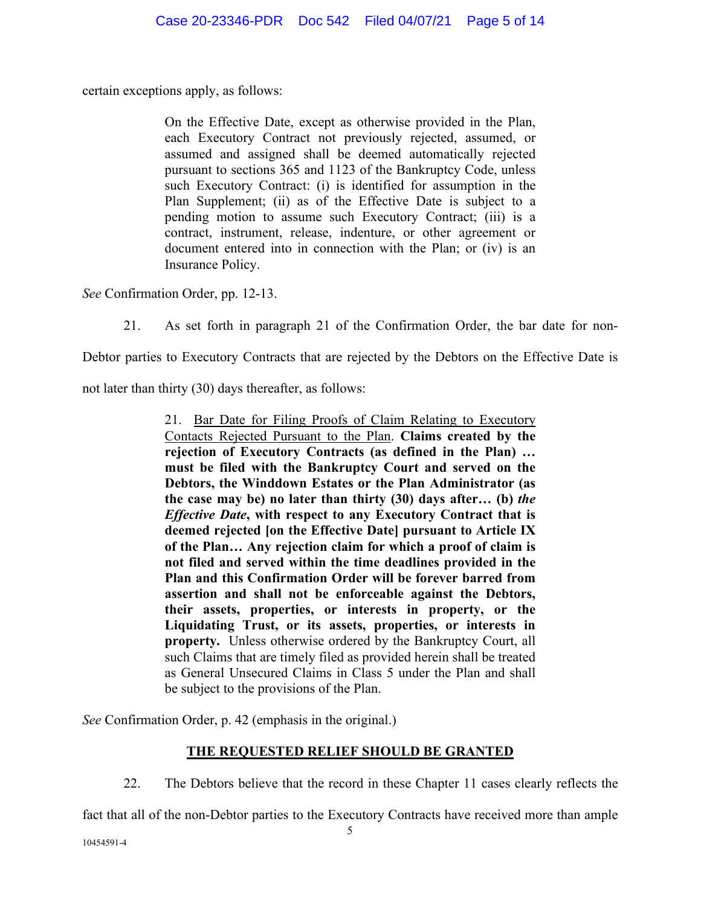certain exceptions apply, as follows:

On the Effective Date, except as otherwise provided in the Plan, each Executory Contract not previously rejected, assumed, or assumed and assigned shall be deemed automatically rejected pursuant to sections 365 and 1123 of the Bankruptcy Code, unless such Executory Contract: (i) is identified for assumption in the Plan Supplement; (ii) as of the Effective Date is subject to a pending motion to assume such Executory Contract; (iii) is a contract, instrument, release, indenture, or other agreement or document entered into in connection with the Plan; or (iv) is an Insurance Policy.

*See* Confirmation Order, pp. 12-13.

21. As set forth in paragraph 21 of the Confirmation Order, the bar date for non-

Debtor parties to Executory Contracts that are rejected by the Debtors on the Effective Date is

not later than thirty (30) days thereafter, as follows:

21. Bar Date for Filing Proofs of Claim Relating to Executory Contacts Rejected Pursuant to the Plan. **Claims created by the rejection of Executory Contracts (as defined in the Plan) … must be filed with the Bankruptcy Court and served on the Debtors, the Winddown Estates or the Plan Administrator (as the case may be) no later than thirty (30) days after… (b)** *the Effective Date***, with respect to any Executory Contract that is deemed rejected [on the Effective Date] pursuant to Article IX of the Plan… Any rejection claim for which a proof of claim is not filed and served within the time deadlines provided in the Plan and this Confirmation Order will be forever barred from assertion and shall not be enforceable against the Debtors, their assets, properties, or interests in property, or the Liquidating Trust, or its assets, properties, or interests in property.** Unless otherwise ordered by the Bankruptcy Court, all such Claims that are timely filed as provided herein shall be treated as General Unsecured Claims in Class 5 under the Plan and shall be subject to the provisions of the Plan.

*See* Confirmation Order, p. 42 (emphasis in the original.)

# **THE REQUESTED RELIEF SHOULD BE GRANTED**

22. The Debtors believe that the record in these Chapter 11 cases clearly reflects the

fact that all of the non-Debtor parties to the Executory Contracts have received more than ample

10454591-4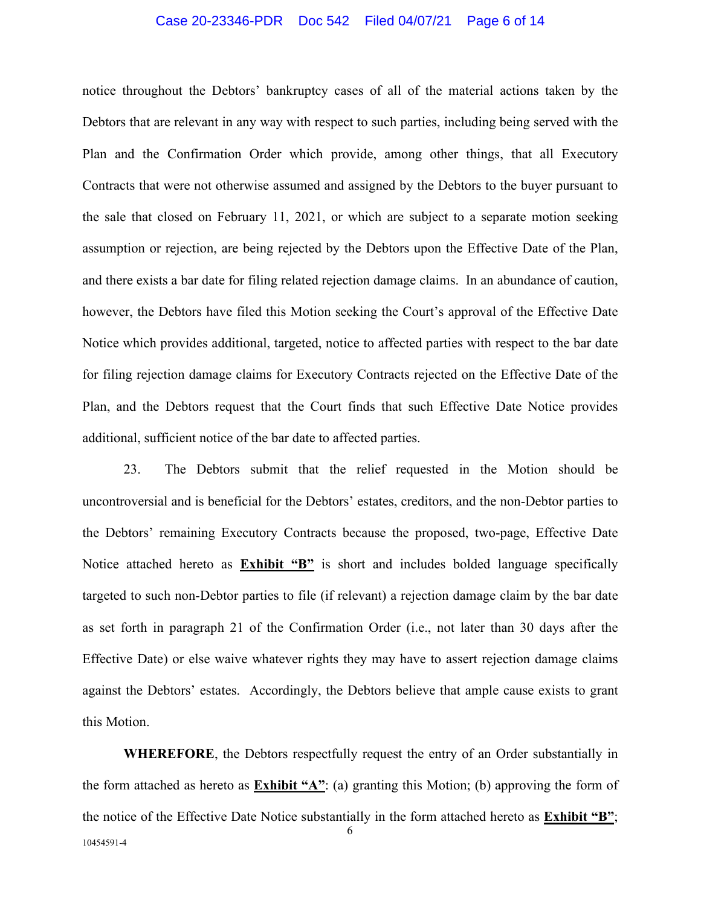#### Case 20-23346-PDR Doc 542 Filed 04/07/21 Page 6 of 14

notice throughout the Debtors' bankruptcy cases of all of the material actions taken by the Debtors that are relevant in any way with respect to such parties, including being served with the Plan and the Confirmation Order which provide, among other things, that all Executory Contracts that were not otherwise assumed and assigned by the Debtors to the buyer pursuant to the sale that closed on February 11, 2021, or which are subject to a separate motion seeking assumption or rejection, are being rejected by the Debtors upon the Effective Date of the Plan, and there exists a bar date for filing related rejection damage claims. In an abundance of caution, however, the Debtors have filed this Motion seeking the Court's approval of the Effective Date Notice which provides additional, targeted, notice to affected parties with respect to the bar date for filing rejection damage claims for Executory Contracts rejected on the Effective Date of the Plan, and the Debtors request that the Court finds that such Effective Date Notice provides additional, sufficient notice of the bar date to affected parties.

23. The Debtors submit that the relief requested in the Motion should be uncontroversial and is beneficial for the Debtors' estates, creditors, and the non-Debtor parties to the Debtors' remaining Executory Contracts because the proposed, two-page, Effective Date Notice attached hereto as **Exhibit "B"** is short and includes bolded language specifically targeted to such non-Debtor parties to file (if relevant) a rejection damage claim by the bar date as set forth in paragraph 21 of the Confirmation Order (i.e., not later than 30 days after the Effective Date) or else waive whatever rights they may have to assert rejection damage claims against the Debtors' estates. Accordingly, the Debtors believe that ample cause exists to grant this Motion.

6 10454591-4 **WHEREFORE**, the Debtors respectfully request the entry of an Order substantially in the form attached as hereto as **Exhibit "A"**: (a) granting this Motion; (b) approving the form of the notice of the Effective Date Notice substantially in the form attached hereto as **Exhibit "B"**;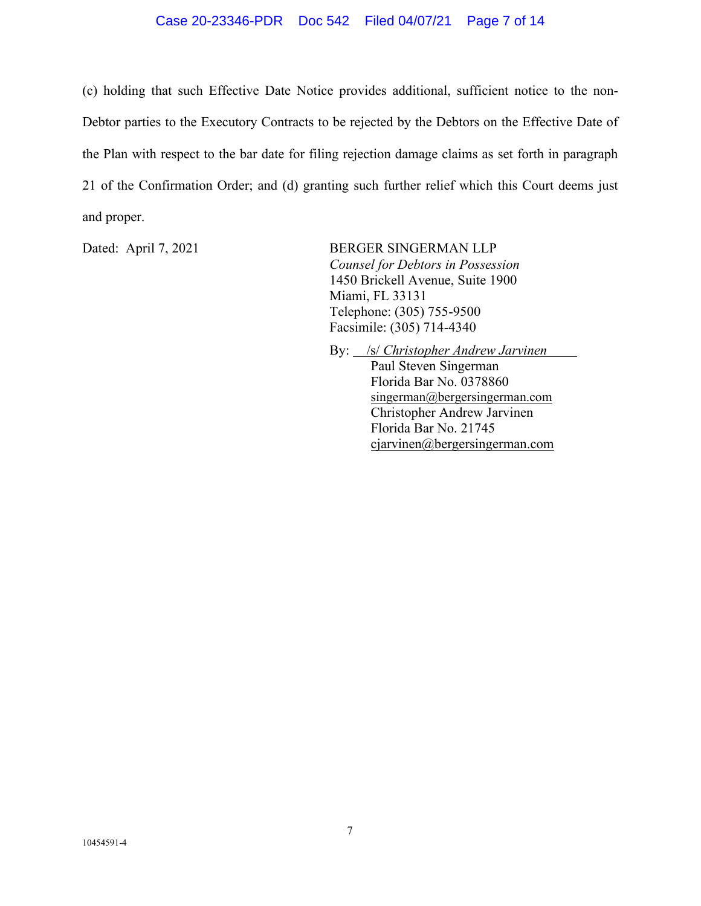### Case 20-23346-PDR Doc 542 Filed 04/07/21 Page 7 of 14

(c) holding that such Effective Date Notice provides additional, sufficient notice to the non-Debtor parties to the Executory Contracts to be rejected by the Debtors on the Effective Date of the Plan with respect to the bar date for filing rejection damage claims as set forth in paragraph 21 of the Confirmation Order; and (d) granting such further relief which this Court deems just and proper.

Dated: April 7, 2021 BERGER SINGERMAN LLP *Counsel for Debtors in Possession*  1450 Brickell Avenue, Suite 1900 Miami, FL 33131 Telephone: (305) 755-9500 Facsimile: (305) 714-4340

By: /s/ *Christopher Andrew Jarvinen* 

 Paul Steven Singerman Florida Bar No. 0378860 singerman@bergersingerman.com Christopher Andrew Jarvinen Florida Bar No. 21745 cjarvinen@bergersingerman.com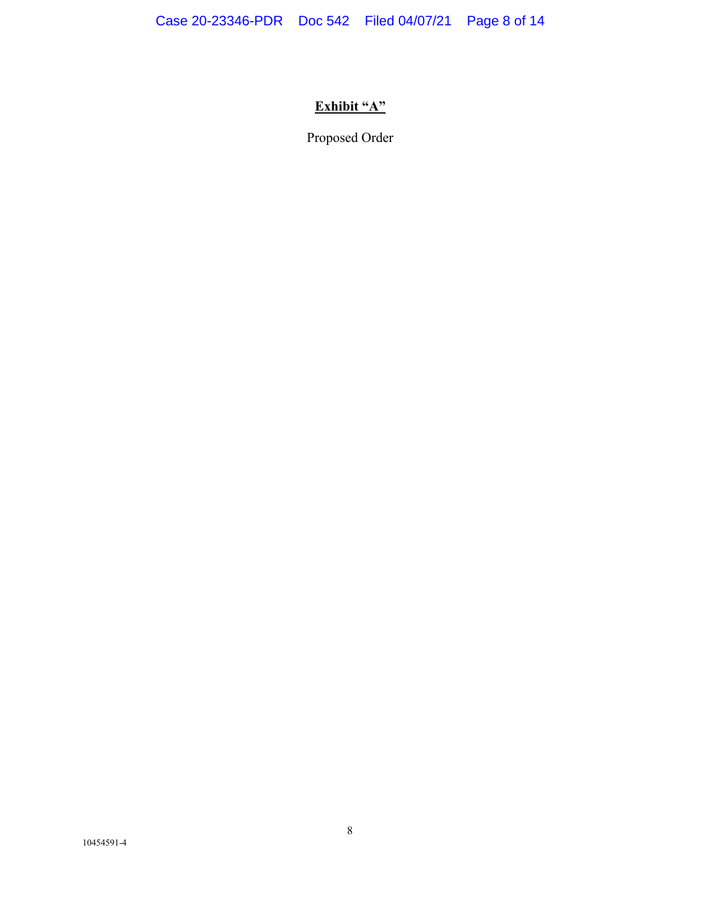# **Exhibit "A"**

Proposed Order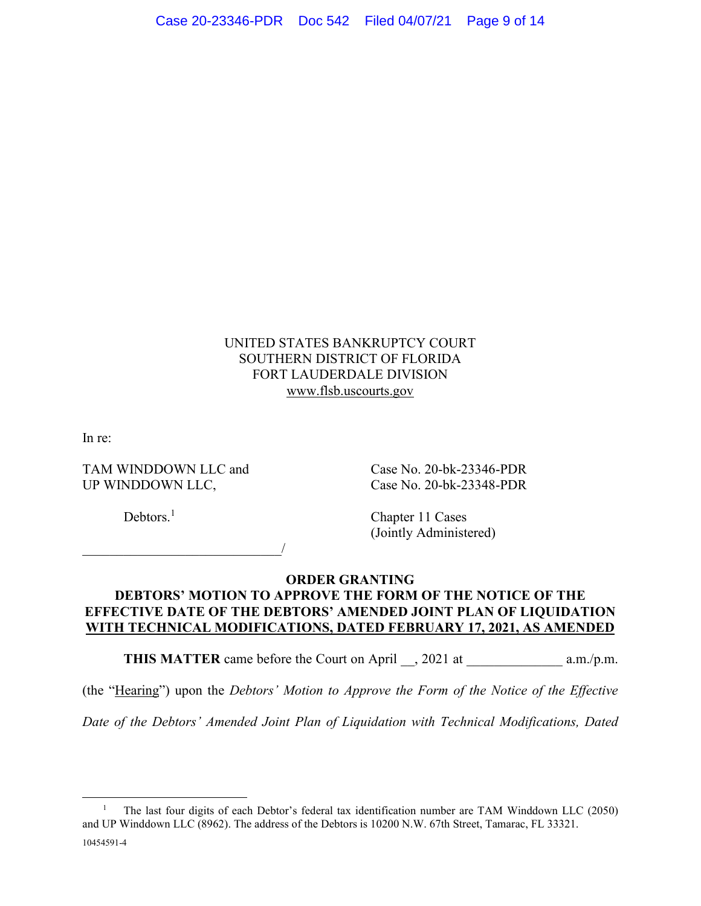# UNITED STATES BANKRUPTCY COURT SOUTHERN DISTRICT OF FLORIDA FORT LAUDERDALE DIVISION www.flsb.uscourts.gov

In re:

TAM WINDDOWN LLC and Case No. 20-bk-23346-PDR UP WINDDOWN LLC, Case No. 20-bk-23348-PDR

 $\overline{\phantom{a}}$ 

Debtors.<sup>1</sup>

 Chapter 11 Cases (Jointly Administered)

# **ORDER GRANTING DEBTORS' MOTION TO APPROVE THE FORM OF THE NOTICE OF THE EFFECTIVE DATE OF THE DEBTORS' AMENDED JOINT PLAN OF LIQUIDATION WITH TECHNICAL MODIFICATIONS, DATED FEBRUARY 17, 2021, AS AMENDED**

**THIS MATTER** came before the Court on April \_\_, 2021 at \_\_\_\_\_\_\_\_\_\_\_\_\_\_\_\_\_\_\_\_\_\_\_\_ a.m./p.m.

(the "Hearing") upon the *Debtors' Motion to Approve the Form of the Notice of the Effective* 

*Date of the Debtors' Amended Joint Plan of Liquidation with Technical Modifications, Dated* 

<sup>10454591-4</sup>  1 The last four digits of each Debtor's federal tax identification number are TAM Winddown LLC (2050) and UP Winddown LLC (8962). The address of the Debtors is 10200 N.W. 67th Street, Tamarac, FL 33321.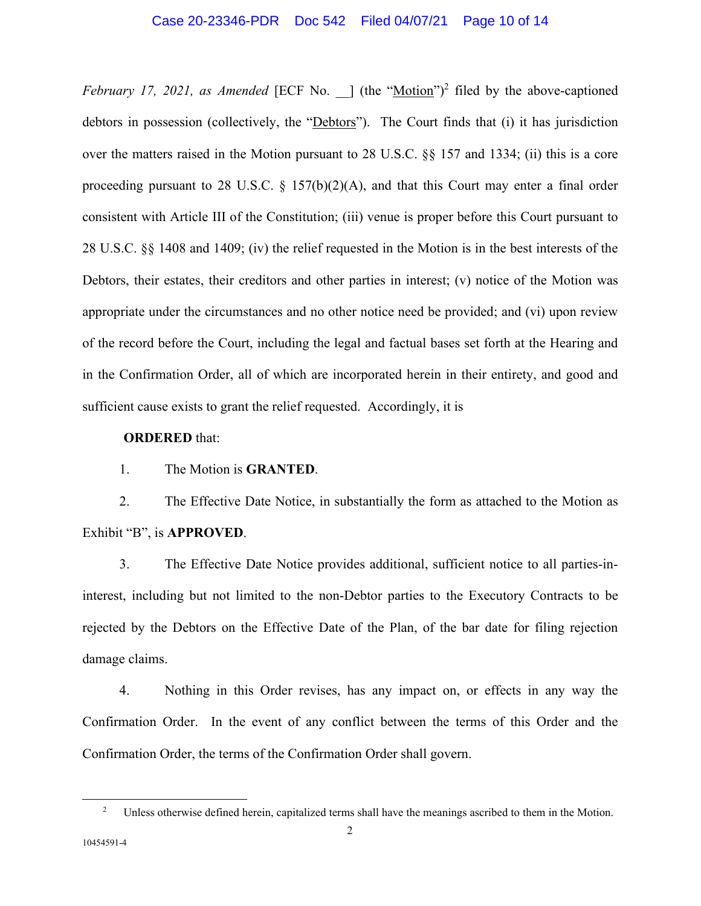### Case 20-23346-PDR Doc 542 Filed 04/07/21 Page 10 of 14

*February 17, 2021, as Amended* [ECF No. ] (the "Motion")<sup>2</sup> filed by the above-captioned debtors in possession (collectively, the "Debtors"). The Court finds that (i) it has jurisdiction over the matters raised in the Motion pursuant to 28 U.S.C. §§ 157 and 1334; (ii) this is a core proceeding pursuant to 28 U.S.C.  $\S$  157(b)(2)(A), and that this Court may enter a final order consistent with Article III of the Constitution; (iii) venue is proper before this Court pursuant to 28 U.S.C. §§ 1408 and 1409; (iv) the relief requested in the Motion is in the best interests of the Debtors, their estates, their creditors and other parties in interest; (v) notice of the Motion was appropriate under the circumstances and no other notice need be provided; and (vi) upon review of the record before the Court, including the legal and factual bases set forth at the Hearing and in the Confirmation Order, all of which are incorporated herein in their entirety, and good and sufficient cause exists to grant the relief requested. Accordingly, it is

### **ORDERED** that:

1. The Motion is **GRANTED**.

2. The Effective Date Notice, in substantially the form as attached to the Motion as Exhibit "B", is **APPROVED**.

3. The Effective Date Notice provides additional, sufficient notice to all parties-ininterest, including but not limited to the non-Debtor parties to the Executory Contracts to be rejected by the Debtors on the Effective Date of the Plan, of the bar date for filing rejection damage claims.

4. Nothing in this Order revises, has any impact on, or effects in any way the Confirmation Order. In the event of any conflict between the terms of this Order and the Confirmation Order, the terms of the Confirmation Order shall govern.

<sup>&</sup>lt;sup>2</sup> Unless otherwise defined herein, capitalized terms shall have the meanings ascribed to them in the Motion.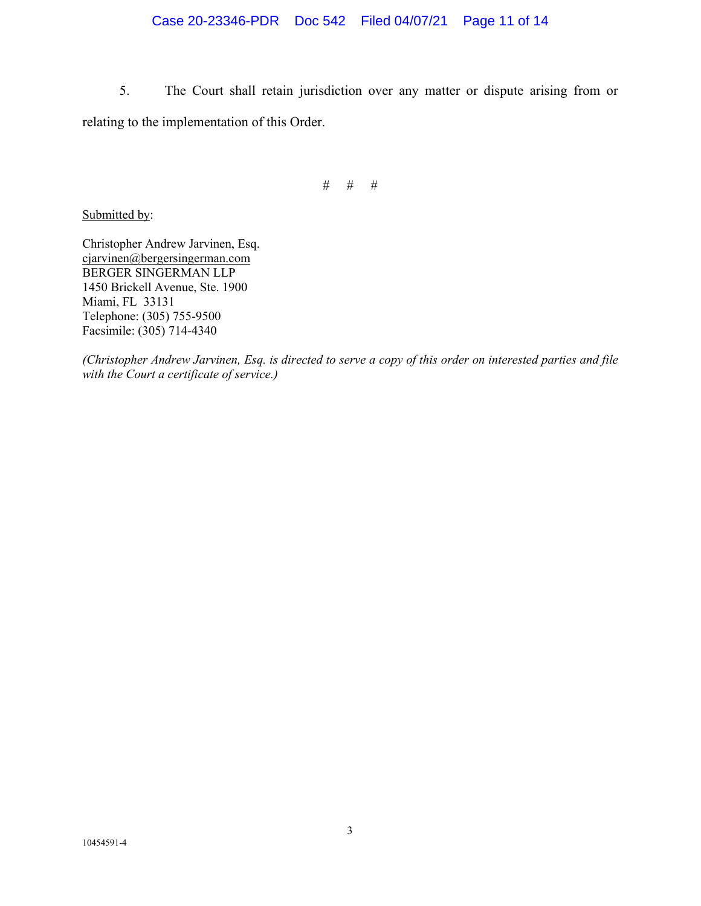# Case 20-23346-PDR Doc 542 Filed 04/07/21 Page 11 of 14

5. The Court shall retain jurisdiction over any matter or dispute arising from or relating to the implementation of this Order.

# # #

Submitted by:

Christopher Andrew Jarvinen, Esq. cjarvinen@bergersingerman.com BERGER SINGERMAN LLP 1450 Brickell Avenue, Ste. 1900 Miami, FL 33131 Telephone: (305) 755-9500 Facsimile: (305) 714-4340

*(Christopher Andrew Jarvinen, Esq. is directed to serve a copy of this order on interested parties and file with the Court a certificate of service.)*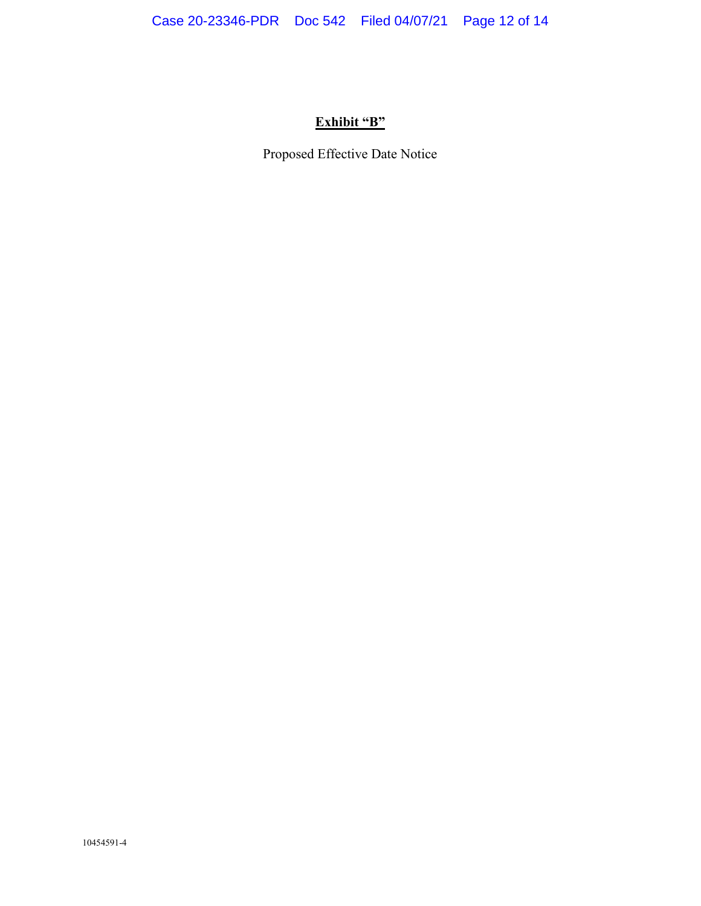# **Exhibit "B"**

Proposed Effective Date Notice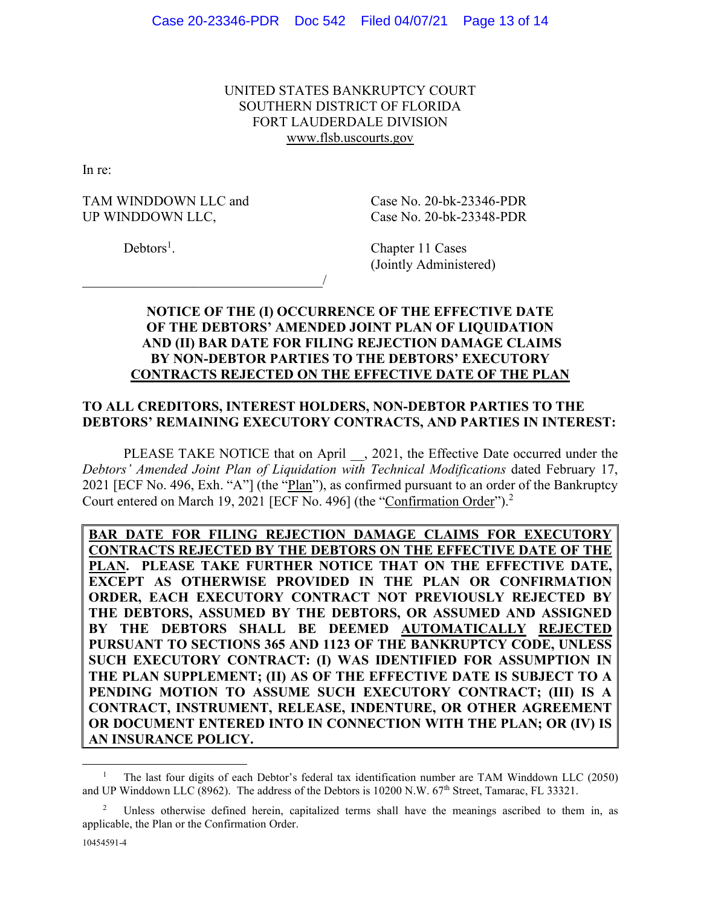UNITED STATES BANKRUPTCY COURT SOUTHERN DISTRICT OF FLORIDA FORT LAUDERDALE DIVISION www.flsb.uscourts.gov

In re:

TAM WINDDOWN LLC and Case No. 20-bk-23346-PDR UP WINDDOWN LLC, Case No. 20-bk-23348-PDR

 $\overline{\phantom{a}}$ 

 $Debtors<sup>1</sup>$ .

. Chapter 11 Cases (Jointly Administered)

# **NOTICE OF THE (I) OCCURRENCE OF THE EFFECTIVE DATE OF THE DEBTORS' AMENDED JOINT PLAN OF LIQUIDATION AND (II) BAR DATE FOR FILING REJECTION DAMAGE CLAIMS BY NON-DEBTOR PARTIES TO THE DEBTORS' EXECUTORY CONTRACTS REJECTED ON THE EFFECTIVE DATE OF THE PLAN**

# **TO ALL CREDITORS, INTEREST HOLDERS, NON-DEBTOR PARTIES TO THE DEBTORS' REMAINING EXECUTORY CONTRACTS, AND PARTIES IN INTEREST:**

PLEASE TAKE NOTICE that on April , 2021, the Effective Date occurred under the *Debtors' Amended Joint Plan of Liquidation with Technical Modifications* dated February 17, 2021 [ECF No. 496, Exh. "A"] (the "Plan"), as confirmed pursuant to an order of the Bankruptcy Court entered on March 19, 2021 [ECF No. 496] (the "Confirmation Order").<sup>2</sup>

**BAR DATE FOR FILING REJECTION DAMAGE CLAIMS FOR EXECUTORY CONTRACTS REJECTED BY THE DEBTORS ON THE EFFECTIVE DATE OF THE PLAN. PLEASE TAKE FURTHER NOTICE THAT ON THE EFFECTIVE DATE, EXCEPT AS OTHERWISE PROVIDED IN THE PLAN OR CONFIRMATION ORDER, EACH EXECUTORY CONTRACT NOT PREVIOUSLY REJECTED BY THE DEBTORS, ASSUMED BY THE DEBTORS, OR ASSUMED AND ASSIGNED BY THE DEBTORS SHALL BE DEEMED AUTOMATICALLY REJECTED PURSUANT TO SECTIONS 365 AND 1123 OF THE BANKRUPTCY CODE, UNLESS SUCH EXECUTORY CONTRACT: (I) WAS IDENTIFIED FOR ASSUMPTION IN THE PLAN SUPPLEMENT; (II) AS OF THE EFFECTIVE DATE IS SUBJECT TO A PENDING MOTION TO ASSUME SUCH EXECUTORY CONTRACT; (III) IS A CONTRACT, INSTRUMENT, RELEASE, INDENTURE, OR OTHER AGREEMENT OR DOCUMENT ENTERED INTO IN CONNECTION WITH THE PLAN; OR (IV) IS AN INSURANCE POLICY.** 

<sup>1</sup> The last four digits of each Debtor's federal tax identification number are TAM Winddown LLC (2050) and UP Winddown LLC (8962). The address of the Debtors is 10200 N.W. 67<sup>th</sup> Street, Tamarac, FL 33321.

<sup>2</sup> Unless otherwise defined herein, capitalized terms shall have the meanings ascribed to them in, as applicable, the Plan or the Confirmation Order.